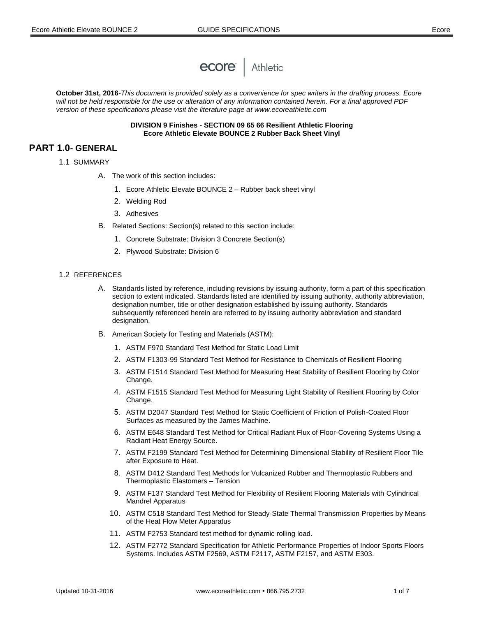

**October 31st, 2016***-This document is provided solely as a convenience for spec writers in the drafting process. Ecore will not be held responsible for the use or alteration of any information contained herein. For a final approved PDF version of these specifications please visit the literature page at www.ecoreathletic.com*

> **DIVISION 9 Finishes - SECTION 09 65 66 Resilient Athletic Flooring Ecore Athletic Elevate BOUNCE 2 Rubber Back Sheet Vinyl**

## **PART 1.0- GENERAL**

- 1.1 SUMMARY
	- A. The work of this section includes:
		- 1. Ecore Athletic Elevate BOUNCE 2 Rubber back sheet vinyl
		- 2. Welding Rod
		- 3. Adhesives
	- B. Related Sections: Section(s) related to this section include:
		- 1. Concrete Substrate: Division 3 Concrete Section(s)
		- 2. Plywood Substrate: Division 6

## 1.2REFERENCES

- A. Standards listed by reference, including revisions by issuing authority, form a part of this specification section to extent indicated. Standards listed are identified by issuing authority, authority abbreviation, designation number, title or other designation established by issuing authority. Standards subsequently referenced herein are referred to by issuing authority abbreviation and standard designation.
- B. American Society for Testing and Materials (ASTM):
	- 1. ASTM F970 Standard Test Method for Static Load Limit
	- 2. ASTM F1303-99 Standard Test Method for Resistance to Chemicals of Resilient Flooring
	- 3. ASTM F1514 Standard Test Method for Measuring Heat Stability of Resilient Flooring by Color Change.
	- 4. ASTM F1515 Standard Test Method for Measuring Light Stability of Resilient Flooring by Color Change.
	- 5. ASTM D2047 Standard Test Method for Static Coefficient of Friction of Polish-Coated Floor Surfaces as measured by the James Machine.
	- 6. ASTM E648 Standard Test Method for Critical Radiant Flux of Floor-Covering Systems Using a Radiant Heat Energy Source.
	- 7. ASTM F2199 Standard Test Method for Determining Dimensional Stability of Resilient Floor Tile after Exposure to Heat.
	- 8. ASTM D412 Standard Test Methods for Vulcanized Rubber and Thermoplastic Rubbers and Thermoplastic Elastomers – Tension
	- 9. ASTM F137 Standard Test Method for Flexibility of Resilient Flooring Materials with Cylindrical Mandrel Apparatus
	- 10. ASTM C518 Standard Test Method for Steady-State Thermal Transmission Properties by Means of the Heat Flow Meter Apparatus
	- 11. ASTM F2753 Standard test method for dynamic rolling load.
	- 12. ASTM F2772 Standard Specification for Athletic Performance Properties of Indoor Sports Floors Systems. Includes ASTM F2569, ASTM F2117, ASTM F2157, and ASTM E303.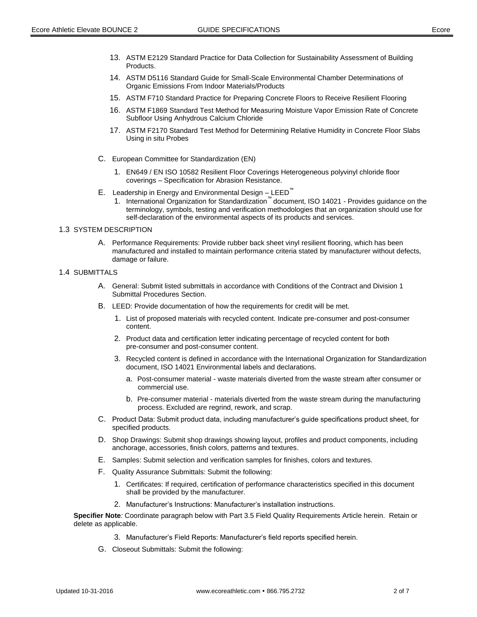- 13. ASTM E2129 Standard Practice for Data Collection for Sustainability Assessment of Building Products.
- 14. ASTM D5116 Standard Guide for Small-Scale Environmental Chamber Determinations of Organic Emissions From Indoor Materials/Products
- 15. ASTM F710 Standard Practice for Preparing Concrete Floors to Receive Resilient Flooring
- 16. ASTM F1869 Standard Test Method for Measuring Moisture Vapor Emission Rate of Concrete Subfloor Using Anhydrous Calcium Chloride
- 17. ASTM F2170 Standard Test Method for Determining Relative Humidity in Concrete Floor Slabs Using in situ Probes
- C. European Committee for Standardization (EN)
	- 1. EN649 / EN ISO 10582 Resilient Floor Coverings Heterogeneous polyvinyl chloride floor coverings – Specification for Abrasion Resistance.
- E. Leadership in Energy and Environmental Design LEED™
	- 1. International Organization for Standardization™ document, ISO 14021 Provides guidance on the terminology, symbols, testing and verification methodologies that an organization should use for self-declaration of the environmental aspects of its products and services.

## 1.3 SYSTEM DESCRIPTION

A. Performance Requirements: Provide rubber back sheet vinyl resilient flooring, which has been manufactured and installed to maintain performance criteria stated by manufacturer without defects, damage or failure.

## 1.4 SUBMITTALS

- A. General: Submit listed submittals in accordance with Conditions of the Contract and Division 1 Submittal Procedures Section.
- B. LEED: Provide documentation of how the requirements for credit will be met.
	- 1. List of proposed materials with recycled content. Indicate pre-consumer and post-consumer content.
	- 2. Product data and certification letter indicating percentage of recycled content for both pre-consumer and post-consumer content.
	- 3. Recycled content is defined in accordance with the International Organization for Standardization document, ISO 14021 Environmental labels and declarations.
		- a. Post-consumer material waste materials diverted from the waste stream after consumer or commercial use.
		- b. Pre-consumer material materials diverted from the waste stream during the manufacturing process. Excluded are regrind, rework, and scrap.
- C. Product Data: Submit product data, including manufacturer's guide specifications product sheet, for specified products.
- D. Shop Drawings: Submit shop drawings showing layout, profiles and product components, including anchorage, accessories, finish colors, patterns and textures.
- E. Samples: Submit selection and verification samples for finishes, colors and textures.
- F. Quality Assurance Submittals: Submit the following:
	- 1. Certificates: If required, certification of performance characteristics specified in this document shall be provided by the manufacturer.
	- 2. Manufacturer's Instructions: Manufacturer's installation instructions.

**Specifier Note***:* Coordinate paragraph below with Part 3.5 Field Quality Requirements Article herein. Retain or delete as applicable.

- 3. Manufacturer's Field Reports: Manufacturer's field reports specified herein.
- G. Closeout Submittals: Submit the following: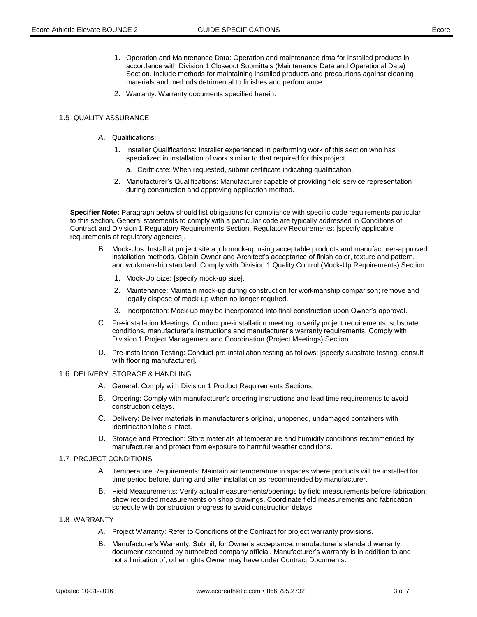- 1. Operation and Maintenance Data: Operation and maintenance data for installed products in accordance with Division 1 Closeout Submittals (Maintenance Data and Operational Data) Section. Include methods for maintaining installed products and precautions against cleaning materials and methods detrimental to finishes and performance.
- 2. Warranty: Warranty documents specified herein.

## 1.5 QUALITY ASSURANCE

- A. Qualifications:
	- 1. Installer Qualifications: Installer experienced in performing work of this section who has specialized in installation of work similar to that required for this project.
		- a. Certificate: When requested, submit certificate indicating qualification.
	- 2. Manufacturer's Qualifications: Manufacturer capable of providing field service representation during construction and approving application method.

**Specifier Note:** Paragraph below should list obligations for compliance with specific code requirements particular to this section. General statements to comply with a particular code are typically addressed in Conditions of Contract and Division 1 Regulatory Requirements Section. Regulatory Requirements: [specify applicable requirements of regulatory agencies].

- B. Mock-Ups: Install at project site a job mock-up using acceptable products and manufacturer-approved installation methods. Obtain Owner and Architect's acceptance of finish color, texture and pattern, and workmanship standard. Comply with Division 1 Quality Control (Mock-Up Requirements) Section.
	- 1. Mock-Up Size: [specify mock-up size].
	- 2. Maintenance: Maintain mock-up during construction for workmanship comparison; remove and legally dispose of mock-up when no longer required.
	- 3. Incorporation: Mock-up may be incorporated into final construction upon Owner's approval.
- C. Pre-installation Meetings: Conduct pre-installation meeting to verify project requirements, substrate conditions, manufacturer's instructions and manufacturer's warranty requirements. Comply with Division 1 Project Management and Coordination (Project Meetings) Section.
- D. Pre-installation Testing: Conduct pre-installation testing as follows: [specify substrate testing; consult with flooring manufacturer].

#### 1.6 DELIVERY, STORAGE & HANDLING

- A. General: Comply with Division 1 Product Requirements Sections.
- B. Ordering: Comply with manufacturer's ordering instructions and lead time requirements to avoid construction delays.
- C. Delivery: Deliver materials in manufacturer's original, unopened, undamaged containers with identification labels intact.
- D. Storage and Protection: Store materials at temperature and humidity conditions recommended by manufacturer and protect from exposure to harmful weather conditions.

## 1.7 PROJECT CONDITIONS

- A. Temperature Requirements: Maintain air temperature in spaces where products will be installed for time period before, during and after installation as recommended by manufacturer.
- B. Field Measurements: Verify actual measurements/openings by field measurements before fabrication; show recorded measurements on shop drawings. Coordinate field measurements and fabrication schedule with construction progress to avoid construction delays.

## 1.8 WARRANTY

- A. Project Warranty: Refer to Conditions of the Contract for project warranty provisions.
- B. Manufacturer's Warranty: Submit, for Owner's acceptance, manufacturer's standard warranty document executed by authorized company official. Manufacturer's warranty is in addition to and not a limitation of, other rights Owner may have under Contract Documents.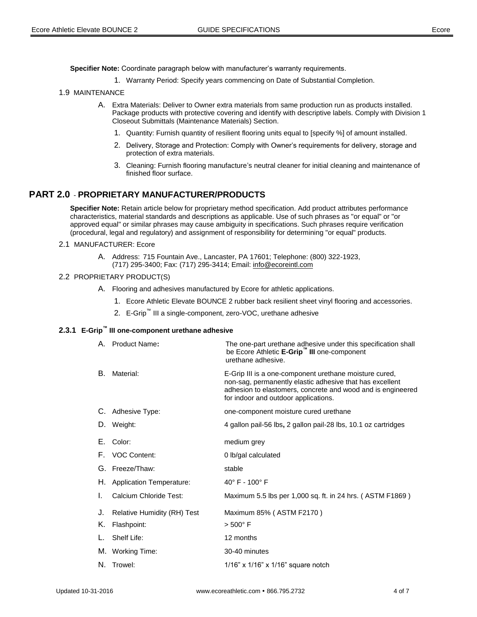**Specifier Note:** Coordinate paragraph below with manufacturer's warranty requirements.

1. Warranty Period: Specify years commencing on Date of Substantial Completion.

### 1.9 MAINTENANCE

- A. Extra Materials: Deliver to Owner extra materials from same production run as products installed. Package products with protective covering and identify with descriptive labels. Comply with Division 1 Closeout Submittals (Maintenance Materials) Section.
	- 1. Quantity: Furnish quantity of resilient flooring units equal to [specify %] of amount installed.
	- 2. Delivery, Storage and Protection: Comply with Owner's requirements for delivery, storage and protection of extra materials.
	- 3. Cleaning: Furnish flooring manufacture's neutral cleaner for initial cleaning and maintenance of finished floor surface.

## **PART 2.0** - **PROPRIETARY MANUFACTURER/PRODUCTS**

**Specifier Note:** Retain article below for proprietary method specification. Add product attributes performance characteristics, material standards and descriptions as applicable. Use of such phrases as "or equal" or "or approved equal" or similar phrases may cause ambiguity in specifications. Such phrases require verification (procedural, legal and regulatory) and assignment of responsibility for determining "or equal" products.

- 2.1 MANUFACTURER: Ecore
	- A. Address: 715 Fountain Ave., Lancaster, PA 17601; Telephone: (800) 322-1923, (717) 295-3400; Fax: (717) 295-3414; Email: info@ecoreintl.com

#### 2.2 PROPRIETARY PRODUCT(S)

- A. Flooring and adhesives manufactured by Ecore for athletic applications.
	- 1. Ecore Athletic Elevate BOUNCE 2 rubber back resilient sheet vinyl flooring and accessories.
	- 2. E-Grip™ III a single-component, zero-VOC, urethane adhesive

## **2.3.1 E-Grip™ III one-component urethane adhesive**

|    | A. Product Name:               | The one-part urethane adhesive under this specification shall<br>be Ecore Athletic E-Grip <sup>"</sup> III one-component<br>urethane adhesive.                                                                            |
|----|--------------------------------|---------------------------------------------------------------------------------------------------------------------------------------------------------------------------------------------------------------------------|
| В. | Material:                      | E-Grip III is a one-component urethane moisture cured,<br>non-sag, permanently elastic adhesive that has excellent<br>adhesion to elastomers, concrete and wood and is engineered<br>for indoor and outdoor applications. |
|    | C. Adhesive Type:              | one-component moisture cured urethane                                                                                                                                                                                     |
|    | D. Weight:                     | 4 gallon pail-56 lbs, 2 gallon pail-28 lbs, 10.1 oz cartridges                                                                                                                                                            |
|    | E. Color:                      | medium grey                                                                                                                                                                                                               |
|    | F. VOC Content:                | 0 lb/gal calculated                                                                                                                                                                                                       |
|    | G. Freeze/Thaw:                | stable                                                                                                                                                                                                                    |
|    | H. Application Temperature:    | $40^{\circ}$ F - $100^{\circ}$ F                                                                                                                                                                                          |
| I. | Calcium Chloride Test:         | Maximum 5.5 lbs per 1,000 sq. ft. in 24 hrs. (ASTM F1869)                                                                                                                                                                 |
|    | J. Relative Humidity (RH) Test | Maximum 85% (ASTM F2170)                                                                                                                                                                                                  |
| Κ. | Flashpoint:                    | $> 500^{\circ}$ F                                                                                                                                                                                                         |
|    | L. Shelf Life:                 | 12 months                                                                                                                                                                                                                 |
|    | M. Working Time:               | 30-40 minutes                                                                                                                                                                                                             |
|    | N. Trowel:                     | $1/16$ " x $1/16$ " x $1/16$ " square notch                                                                                                                                                                               |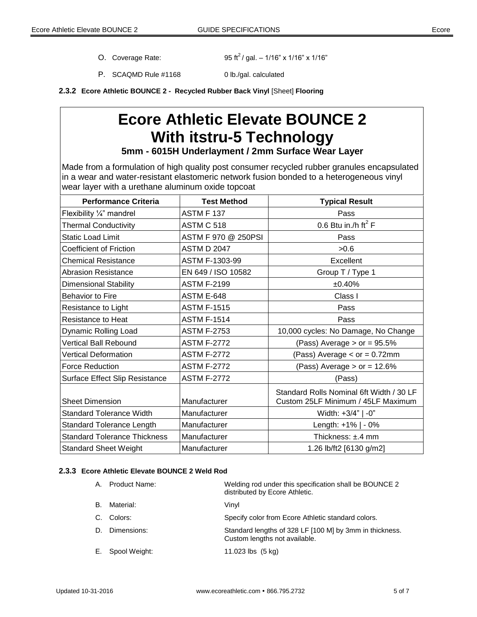O. Coverage Rate:

95 ft<sup>2</sup>/ gal. – 1/16" x 1/16" x 1/16"

P. SCAQMD Rule #1168 0 lb./gal. calculated

**2.3.2 Ecore Athletic BOUNCE 2 - Recycled Rubber Back Vinyl** [Sheet] **Flooring** 

# **Ecore Athletic Elevate BOUNCE 2 With itstru-5 Technology**

**5mm - 6015H Underlayment / 2mm Surface Wear Layer**

Made from a formulation of high quality post consumer recycled rubber granules encapsulated in a wear and water-resistant elastomeric network fusion bonded to a heterogeneous vinyl wear layer with a urethane aluminum oxide topcoat

| <b>Performance Criteria</b>         | <b>Test Method</b>  | <b>Typical Result</b>                                                          |
|-------------------------------------|---------------------|--------------------------------------------------------------------------------|
| Flexibility 1/4" mandrel            | <b>ASTM F 137</b>   | Pass                                                                           |
| <b>Thermal Conductivity</b>         | ASTM C 518          | 0.6 Btu in./h ft <sup>2</sup> F                                                |
| <b>Static Load Limit</b>            | ASTM F 970 @ 250PSI | Pass                                                                           |
| Coefficient of Friction             | <b>ASTM D 2047</b>  | >0.6                                                                           |
| <b>Chemical Resistance</b>          | ASTM F-1303-99      | Excellent                                                                      |
| <b>Abrasion Resistance</b>          | EN 649 / ISO 10582  | Group T / Type 1                                                               |
| <b>Dimensional Stability</b>        | <b>ASTM F-2199</b>  | ±0.40%                                                                         |
| <b>Behavior to Fire</b>             | ASTM E-648          | Class I                                                                        |
| Resistance to Light                 | <b>ASTM F-1515</b>  | Pass                                                                           |
| <b>Resistance to Heat</b>           | <b>ASTM F-1514</b>  | Pass                                                                           |
| Dynamic Rolling Load                | <b>ASTM F-2753</b>  | 10,000 cycles: No Damage, No Change                                            |
| Vertical Ball Rebound               | <b>ASTM F-2772</b>  | (Pass) Average $>$ or = 95.5%                                                  |
| <b>Vertical Deformation</b>         | <b>ASTM F-2772</b>  | (Pass) Average $<$ or = 0.72mm                                                 |
| <b>Force Reduction</b>              | <b>ASTM F-2772</b>  | (Pass) Average $>$ or = 12.6%                                                  |
| Surface Effect Slip Resistance      | <b>ASTM F-2772</b>  | (Pass)                                                                         |
| <b>Sheet Dimension</b>              | Manufacturer        | Standard Rolls Nominal 6ft Width / 30 LF<br>Custom 25LF Minimum / 45LF Maximum |
| <b>Standard Tolerance Width</b>     | Manufacturer        | Width: +3/4"   -0"                                                             |
| <b>Standard Tolerance Length</b>    | Manufacturer        | Length: +1%   - 0%                                                             |
| <b>Standard Tolerance Thickness</b> | Manufacturer        | Thickness: ±.4 mm                                                              |
| <b>Standard Sheet Weight</b>        | Manufacturer        | 1.26 lb/ft2 [6130 g/m2]                                                        |

## **2.3.3 Ecore Athletic Elevate BOUNCE 2 Weld Rod**

| Α. | Product Name: | Welding rod under this specification shall be BOUNCE 2<br>distributed by Ecore Athletic. |
|----|---------------|------------------------------------------------------------------------------------------|
| В. | Material:     | Vinyl                                                                                    |
|    | Colors:       | Specify color from Ecore Athletic standard colors.                                       |
| D. | Dimensions:   | Standard lengths of 328 LF [100 M] by 3mm in thickness.<br>Custom lengths not available. |
| Е. | Spool Weight: | 11.023 lbs $(5 \text{ kg})$                                                              |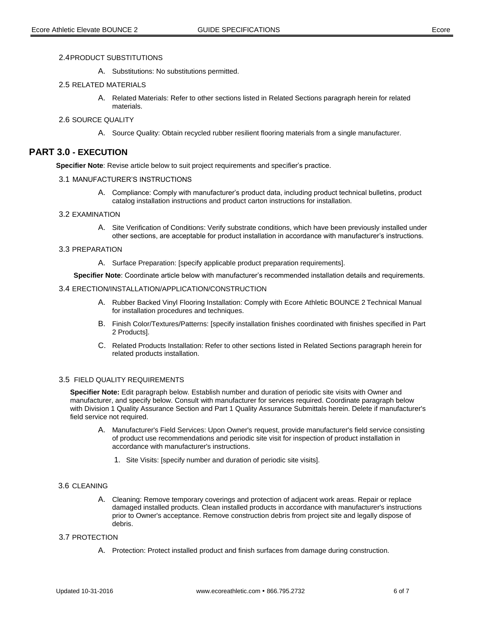A. Substitutions: No substitutions permitted.

#### 2.5 RELATED MATERIALS

A. Related Materials: Refer to other sections listed in Related Sections paragraph herein for related materials.

## 2.6 SOURCE QUALITY

A. Source Quality: Obtain recycled rubber resilient flooring materials from a single manufacturer.

## **PART 3.0 - EXECUTION**

**Specifier Note**: Revise article below to suit project requirements and specifier's practice.

- 3.1 MANUFACTURER'S INSTRUCTIONS
	- A. Compliance: Comply with manufacturer's product data, including product technical bulletins, product catalog installation instructions and product carton instructions for installation.

## 3.2 EXAMINATION

A. Site Verification of Conditions: Verify substrate conditions, which have been previously installed under other sections, are acceptable for product installation in accordance with manufacturer's instructions.

#### 3.3 PREPARATION

A. Surface Preparation: [specify applicable product preparation requirements].

**Specifier Note**: Coordinate article below with manufacturer's recommended installation details and requirements.

#### 3.4 ERECTION/INSTALLATION/APPLICATION/CONSTRUCTION

- A. Rubber Backed Vinyl Flooring Installation: Comply with Ecore Athletic BOUNCE 2 Technical Manual for installation procedures and techniques.
- B. Finish Color/Textures/Patterns: [specify installation finishes coordinated with finishes specified in Part 2 Products].
- C. Related Products Installation: Refer to other sections listed in Related Sections paragraph herein for related products installation.

## 3.5 FIELD QUALITY REQUIREMENTS

**Specifier Note:** Edit paragraph below. Establish number and duration of periodic site visits with Owner and manufacturer, and specify below. Consult with manufacturer for services required. Coordinate paragraph below with Division 1 Quality Assurance Section and Part 1 Quality Assurance Submittals herein. Delete if manufacturer's field service not required.

- A. Manufacturer's Field Services: Upon Owner's request, provide manufacturer's field service consisting of product use recommendations and periodic site visit for inspection of product installation in accordance with manufacturer's instructions.
	- 1. Site Visits: [specify number and duration of periodic site visits].

#### 3.6 CLEANING

A. Cleaning: Remove temporary coverings and protection of adjacent work areas. Repair or replace damaged installed products. Clean installed products in accordance with manufacturer's instructions prior to Owner's acceptance. Remove construction debris from project site and legally dispose of debris.

## 3.7 PROTECTION

A. Protection: Protect installed product and finish surfaces from damage during construction.